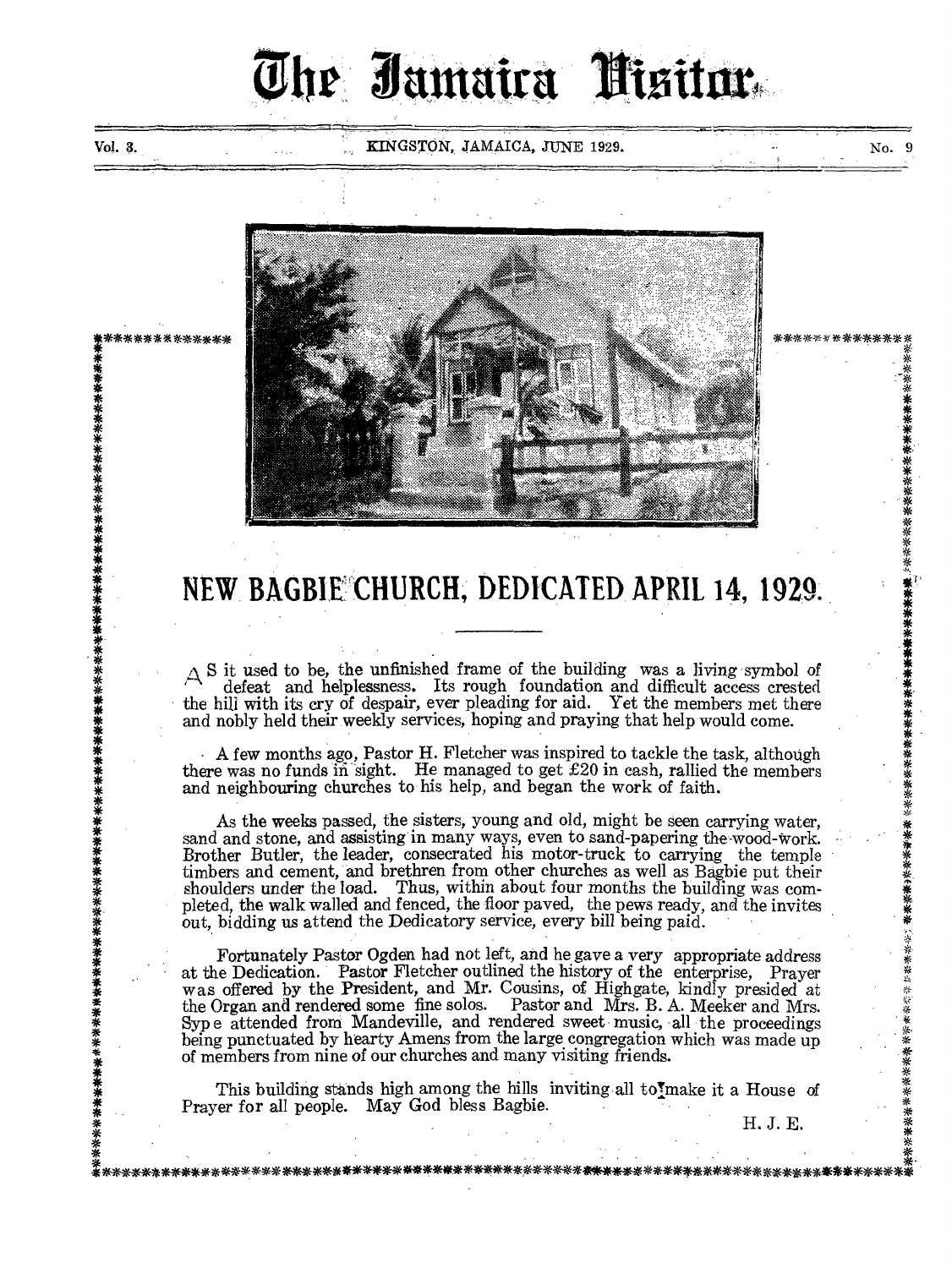# The Jamaira Misitor

Vol. 3. No. 3. KINGSTON, JAMAICA, JUNE 1929. No. 9

**\*\*\*** 

\*\*\*\*\*\*\*\*\*\*\*\*\*\*\*\*\*\*\*\*\*\*\*\*

**• 4** 



## **NEW**. **BAGB1E CHURCH, DEDICATED**, **APRIL 14, 1929.**

 $\Delta$  S it used to be, the unfinished frame of the building was a living symbol of defeat and helplessness. Its rough foundation and difficult access crested the hill with its cry of despair, ever pleading for aid. Yet the members met there and nobly held their weekly services, hoping and praying that help would come.

• A few months ago, Pastor H. Fletcher was inspired to tackle the task, although there was no funds in sight. He managed to get  $\pounds 20$  in cash, rallied the members and neighbouring churches to his help, and began the work of faith.

As the weeks passed, the sisters, young and old, might be seen carrying water, sand and stone, and assisting in many ways, even to sand-papering the-wood-work. Brother Butler, the leader, consecrated his motor-truck to carrying the temple timbers and cement, and brethren from other churches as well as Bagbie put their shoulders under the load. Thus, within about four months the building was completed, the walk walled and fenced, the floor paved, the pews ready, and the invites out, bidding us attend the Dedicatory service, every bill being paid.

Fortunately Pastor Ogden had not left, and he gave a very appropriate address at the Dedication. Pastor Fletcher outlined the history of the enterprise, Prayer was offered by the President, and Mr. Cousins, of Highgate, kindly presided at the Organ and rendered some fine solos. Pastor and Mrs. B. A. Meeker and Mrs. Pastor and Mrs. B. A. Meeker and Mrs. Syp e attended from Mandeville, and rendered sweet music, all the proceedings being punctuated by hearty Amens from the large congregation which was made up of members from nine of our churches and many visiting friends.

This building stands high among the hills inviting all to make it a House of Prayer for all people. May God bless Bagbie.

\*- :\*-\*\*\*\*\*\*\*\*\*\*\*\*\*\*\*\*\*\*\*\*\*\*\*\*\*\*\*\*\*\*\*\*\*\*\*\* \*\*\*\*\*\*\*\*\*\*\*\*\*\*\*\*\*\*\*\*\*\*\*\*\*\*\*\*\*\*\*\*\*\*\*\*\*\*\*\*

H. J. E.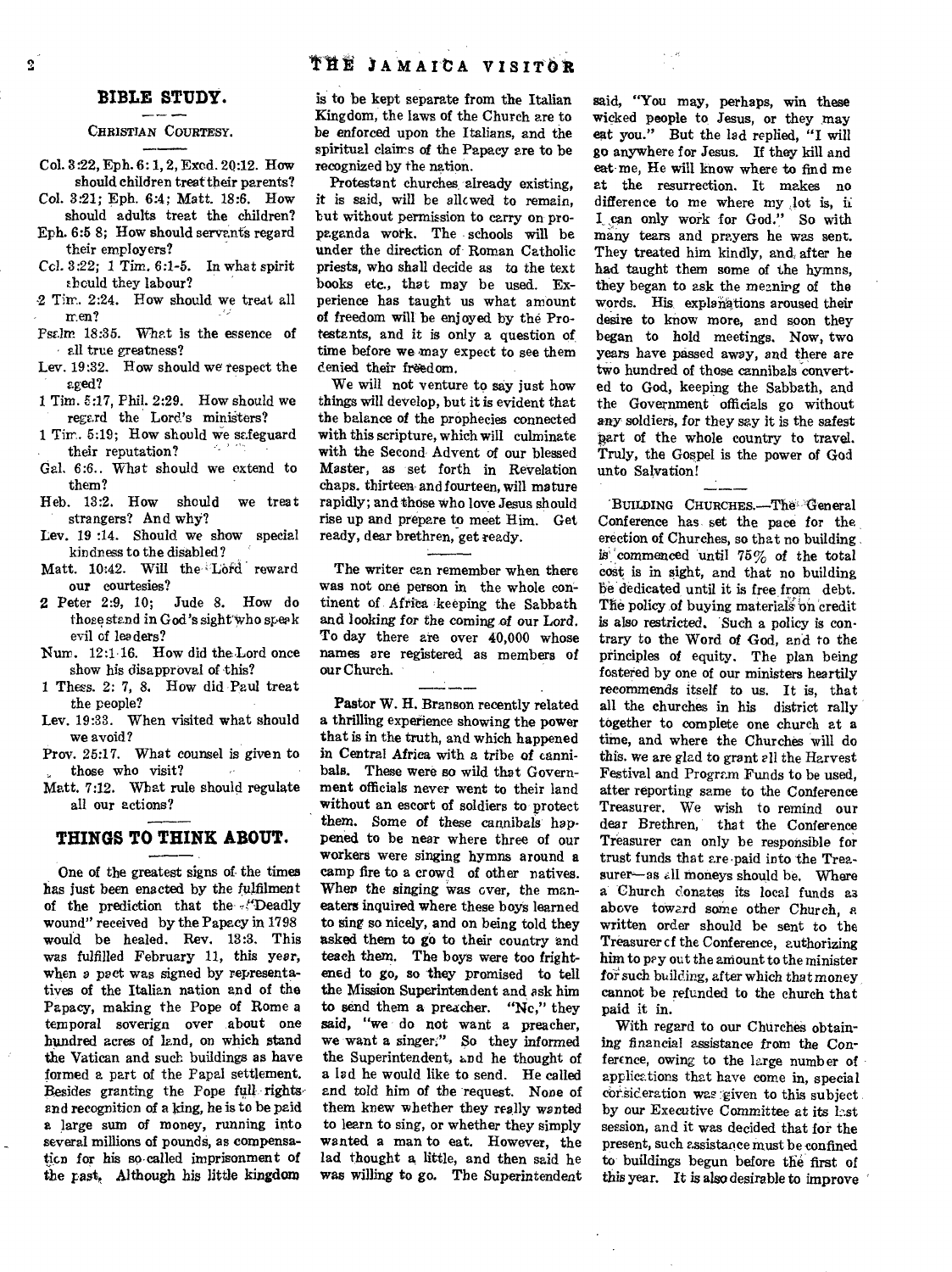#### CHRISTIAN COURTESY.

- Col. 3:22, Eph. 6: 1, 2, Exod. 20:12. How should children treat their parents?
- Col. 3:21; Eph. 6:4; Matt. 18:6. How should adults treat the children?
- Eph. 6:5 8; How should servants regard their employers?
- Ccl. 3:22; 1 Tim. 6:1-5. In what spirit thould they labour?
- 2 Tim. 2:24. How should we treat all men?
- Psalm 18:35. What is the essence of all true greatness?
- Lev. 19:32. How should we respect the aged?
- 1 Tim. 5:17, Phil. 2:29. How should we regard the Lord's ministers?
- 1 Tin. 5:19; How should we safeguard<br>their reputation? their reputation?
- Gal. 6:6.. What should we extend to them?
- Heb. 13:2. How should we treat strangers? And why?
- Lev. 19 :14. Should we show special kindness to the disabled?
- Matt. 10:42. Will the Lord reward
- our courtesies?<br>2 Peter 2:9,  $10$ ; Jude 8. How do those stand in God's sight who speak evil of leaders?
- Num. 12:1-16. How did the Lord once show his disapproval of this?
- 1 Thews. 2: 7, 8. How did Paul treat the people?
- Lev. 19:33. When visited what should we avoid?
- Prov. 25:17. What counsel is given to those who visit?  $\mathcal{L}$
- Matt. 7:12. What rule should regulate all our actions?

### **THINGS TO THINK ABOUT.**

One of the greatest signs of the times has just been enacted by the fulfilment of the prediction that the -fDeadly wound" received by the Papacy in 1798 would be healed. Rev. 13:3. This was fulfilled February 11, this year, when a pact was signed by representatives of the Italian nation and of the Papacy, making the Pope of Rome a temporal soverign over about one hundred acres of land, on which stand the Vatican and such buildings as have formed a part of the Papal settlement. Besides granting the Pope full rights and recognition of a king, he is to be paid a large sum of money, running into several millions of pounds, as compensation for his so-called imprisonment of the past, Although his little kingdom

is to be kept separate from the Italian Kingdom, the laws of the Church are to be enforced upon the Italians, and the spiritual claims of the Papacy are to be recognized by the nation.

Protestant churches already existing, it is said, will be allowed to remain, but without permission to carry on propaganda work. The schools will be under the direction of Roman Catholic priests, who shall decide as to the text books etc., that may be used. Experience has taught us what amount of freedom will be enjoyed by the Protestants, and it is only a question of time before we may expect to see them denied their freedom.

We will not venture to say just how things will develop, but it is evident that the balance of the prophecies connected with this scripture, which will culminate with the Second Advent of our blessed Master, as set forth in Revelation chaps. thirteen• and fourteen, will mature rapidly; and those who love Jesus should rise up and prepare to meet Him. Get ready, dear brethren, get ready.

The writer can remember when there was not one person in the whole continent of Africa keeping the Sabbath and looking for the coming of our Lord. To day there are over 40,000 whose names are registered as members of<br>
our Church.<br>
Pastor W. H. Branson recently related our Church.

Pastor W. H. Branson recently related a thrilling experience showing the power that is in the truth, and which happened in Central Africa with a tribe of cannibals. These were so wild that Government officials never went to their land without an escort of soldiers to protect them. Some of these cannibals happened to be near where three of our workers were singing hymns around a camp fire to a crowd of other natives. When the singing was over, the maneaters inquired where these boys learned to sing so nicely, and on being told they asked them to go to their country and teach them. The boys were too frightened to go, so they promised to tell the Mission Superintendent and ask him to send them a preacher. "No," they said, "we do not want a preacher, we want a singer." So they informed the Superintendent, and he thought of a lad he would like to send. He called and told him of the request. None of them knew whether they really wanted to learn to sing, or whether they simply wanted a man to eat. However, the lad thought a little, and then said he was willing to go. The Superintendent

said, "You may, perhaps, win these wicked people to Jesus, or they may eat you." But the lad replied, "I will go anywhere for Jesus. If they kill and eat-me. He will know where to find me at the resurrection. It makes no difference to me where my lot is, ii I can only work for God." So with many tears and prayers he was sent. They treated him kindly, and, after he had taught them some of the hymns, they began to ask the meaning of the words. His explanations aroused their desire to know more, and soon they began to hold meetings. Now, two years have passed away, and there are two hundred of those cannibals convert. ed to God, keeping the Sabbath, and the Government officials go without any soldiers, for they say it is the *safest*  part of the whole country to travel. Truly, the Gospel is the power of God unto Salvation!

BUILDING CHURCHES.—The' General Conference has set the pace for the erection of Churches, so that no building is commenced until  $75\%$  of the total cost is in sight, and that no building be dedicated until it is free from debt. The policy of buying materials on credit *is* also restricted. 'Such a policy is contrary to the Word of God, and to the principles of equity. The plan being fostered by one of our ministers heartily recommends itself to us. It is, that all the churches in his district rally together to complete one church at a time, and where the Churches will do this. we are glad to grant all the Harvest Festival and Program Funds to be used, after reporting same to the Conference Treasurer. We wish to remind our<br>dear Brethren, that the Conference that the Conference Treasurer can only be responsible for trust funds that are•paid into the Treasurer-as all moneys should be. Where a Church donates its local funds as above toward some other Church, a written order should be sent to the Treasurer cf the Conference, authorizing him to pay out the amount to the minister for such building, after which that money cannot be refunded to the church that paid it in.

With regard to our Churches obtaining financial assistance from the Conference, owing to the large number of applications that have come in, special consideration was given to this subject by our Executive Committee at its last session, and it was decided that for the present, such assistance must be confined to buildings begun before the first of this year. It is also desirable to improve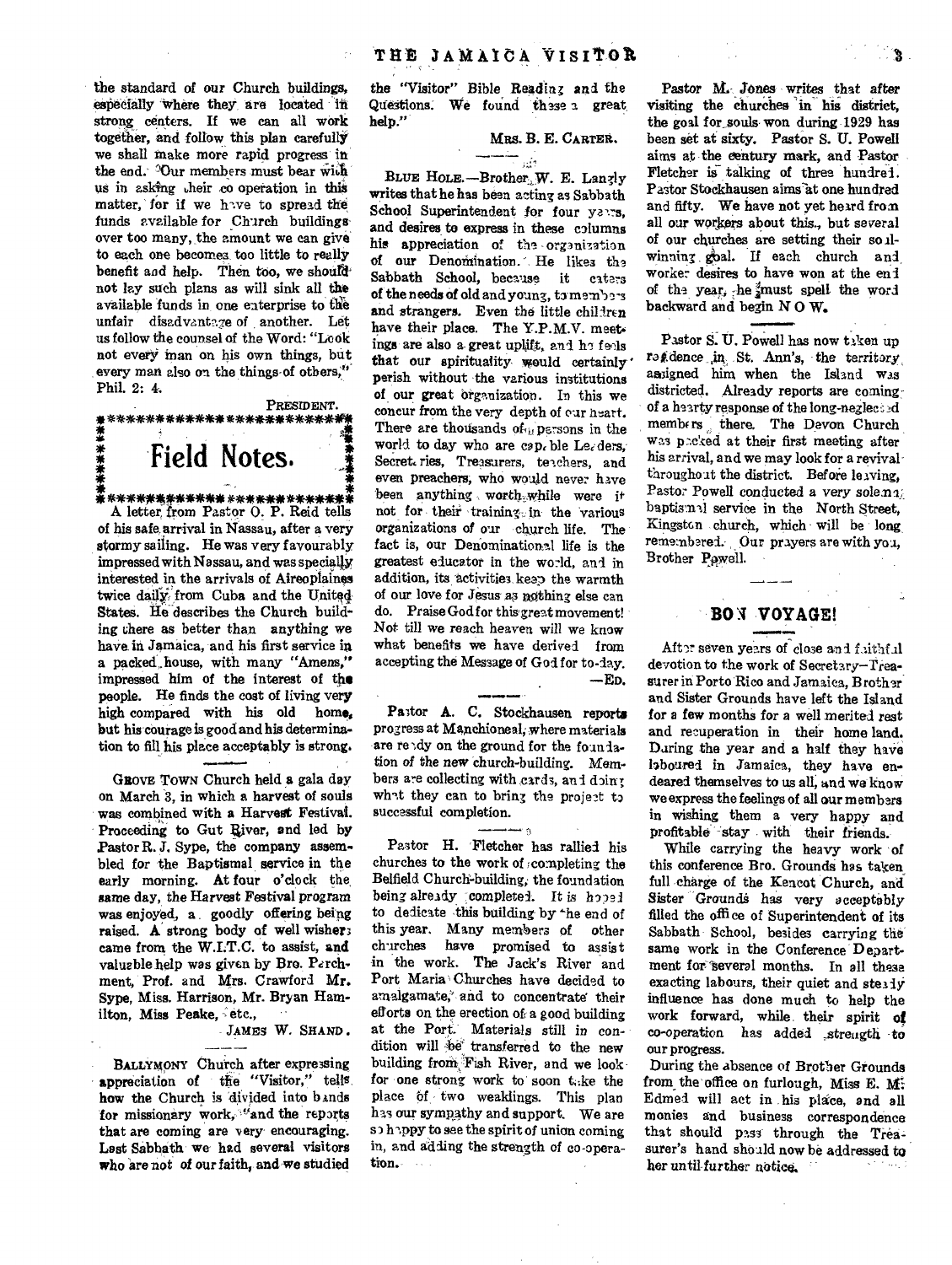the standard of our Church buildings, especially 'Where they. are located strong centers. If we can all work together, and follow this plan carefully we shall Make more rapid progress in the end. Our members must bear with us in asking heir co operation in this matter, for if we have to spread the funds available for Church buildings over too many, the amount we can give to each one becomes too little to really benefit and help. Then too, we should not lay such plans as will sink all the available funds in one enterprise to the unfair disadvantage of another. Let us follow the counsel of the Word: "Look not every man on his own things, but every man also on the things of others," Phil. 2: 4.

PRESIDENT. \*\*\*\*\*\*\*\*\*\*\*\*\*\*\*\*\*\*\*\* **Field Notes.**  \*\*\*\*\*\*\*\*\*\*\*\*\*

A letter. from Pastor 0. P. Reid tells of his safe, arrival in Nassau, after a very stormy sailing. He was very favourably impressed with Nassau, and was specially interested in the arrivals of Aireoplaines twice daily from Cuba and the United States. Ile describes the Church building there as better than anything we have in Jamaica, and his first service in a packed house, with many "Amens," impressed him of the interest of the people. He finds the cost of living very high compared with his old home, but his Courage is good and his determination to fill his place acceptably is strong.

GROVE TOWN Church held a gala day on March 3, in which a harvest of souls was combined with a Harvest Festival. Proceeding to Gut River, and led by Pastor R. J. Sype, the company assembled for the Baptismal service in the early morning. At four o'clock the, *same* day, the Harvest Festival program was enjoyed, a . goodly offering being raised. A strong body of well wishers came from the W.I.T.C. to assist, and valuable help was given by Bro. Perchment, Prof. and Mrs. Crawford *Mr.*  Sype, Miss. Harrison, Mr. Bryan Hamilton, Miss Peake, etc.,

JAMES W. SHAND .  $-\frac{1}{2}$ 

BALLYMONY Church after expressing appreciation of the "Visitor," tells how the Church is divided into bands for missionary work, "and the reports that are coming are very encouraging. Last Sabbath we had several visitors who are not of our faith, and we studied

the "Visitor" Bible Reading and the Questions. We found these a great. help."

MRS. B. E. CARTER.

BLUE HOLE. —Brother.,W. E. Lanely writes that he has been acting as Sabbath School Superintendent for four years. and desires to express in these columns his appreciation of the organization of our Denomination. He likes the Sabbath School, because it caters of the needs of old and young, to members and strangers. Even the little children have their place. The Y.P.M.V. meetings are also a- great uplift, and he feels that our spirituality would certainly' perish without the various institutions of our great organization. In this we concur from the very depth of our neart. There are thousands of persons in the world to day who are cap. ble Le. ders, Secret. ries, Treasurers, teachers, and even preachers, who would never have been anything worth while were it not for their training. in the various organizations of our church life. The fact is, our Denominational life is the greatest educator in the world, and in addition, its activities keep the warmth of our love for Jesus as nothing else can do. Praise God for this-greet movement! Not till we reach heaven will we know what benefits we have derived from accepting the Message of God for to-day. —ED.

--- Pastor A. C. Stockhausen reports progress at Manchioneal, where materials are reedy on the ground for the foundation *of* the *new* church-building. Mern. bers are collecting with cards, and doing what they can to bring the project to successful completion. recessful completion.<br>
The project by<br>
Pastor H. Fletcher has rallied his

churches to the work of completing the Belfield Church-building, the foundation being already completed. It is hoped to dedicate this building by the end of this year. Many members of other churches have promised to assist in the work. The Jack's River and Port Maria<sup>;</sup> Churches have decided to amalgamate,' and to concentrate' their efforts on the erection of a good building at the Port. Materials still *in* condition will be transferred to the new building from Fish River, and we look for one strong work to soon take the place of two weaklings. This plan has our sympathy and support. We are so happy to see the spirit of union coming in, and adding the strength of co-operation.

Pastor M. Jones writes that after visiting the churches 'in his district, the goal for souls won during 1929 has been set at sixty. Pastor S. U. Powell aims at the century mark, and Pastor Fletcher is talking of three hundred. Pastor Stockhausen aims at one hundred and fifty. We have not yet heard from all our workers about this., but several of our churches are setting their so ilwinning goal. If each church and worker desires to have won at the end of the year, he must spell the word backward and begin N 0 W.

Pastor S. U. Powell has now taken up rat dence in St. Ann's, the territory assigned him when the Island was districted. Already reports are comingof a hearty response of the long-neglee;2d membe rs there. The Devon Church was pecked at their first meeting after his arrival, and we may look for a revivalthroughout the district. Before leaving, Pastor Powell conducted a very solemn; baptismal service in the North Street, Kingston church, which will be long remembered. Our prayers are with you, Brother Powell.

### **B011 VOYAGE!**  .10.1•1•••111

After seven years of close and faithful devotion to the work of Secretary—Treasurer in Porto Rico and Jamaica, Brother and Sister Grounds have left the Island for a few months for a well merited rest and recuperation in their home land. Daring the year and a half they have laboured in Jamaica, they have endeared themselves to us all, and we know we express the feelings of all our members in wishing them a very happy and profitable -stay with their friends.

While carrying the heavy work of this conference Bro. Grounds has taken, full charge of the Kencot Church, and Sister Grounds has very acceptably filled the office of Superintendent of its Sabbath School, besides carrying the same work in the Conference Department for several months. In all these exacting labours, their quiet and steady influence has done much to help the work forward, while their spirit of co-operation has added strength to our progress.

During the absence of Brother Grounds from the office on furlough, Miss E. Mi Edmed will act in his place, and all monies and business correspondence that should pass through the Treasurer's hand should now be addressed to her until further notice.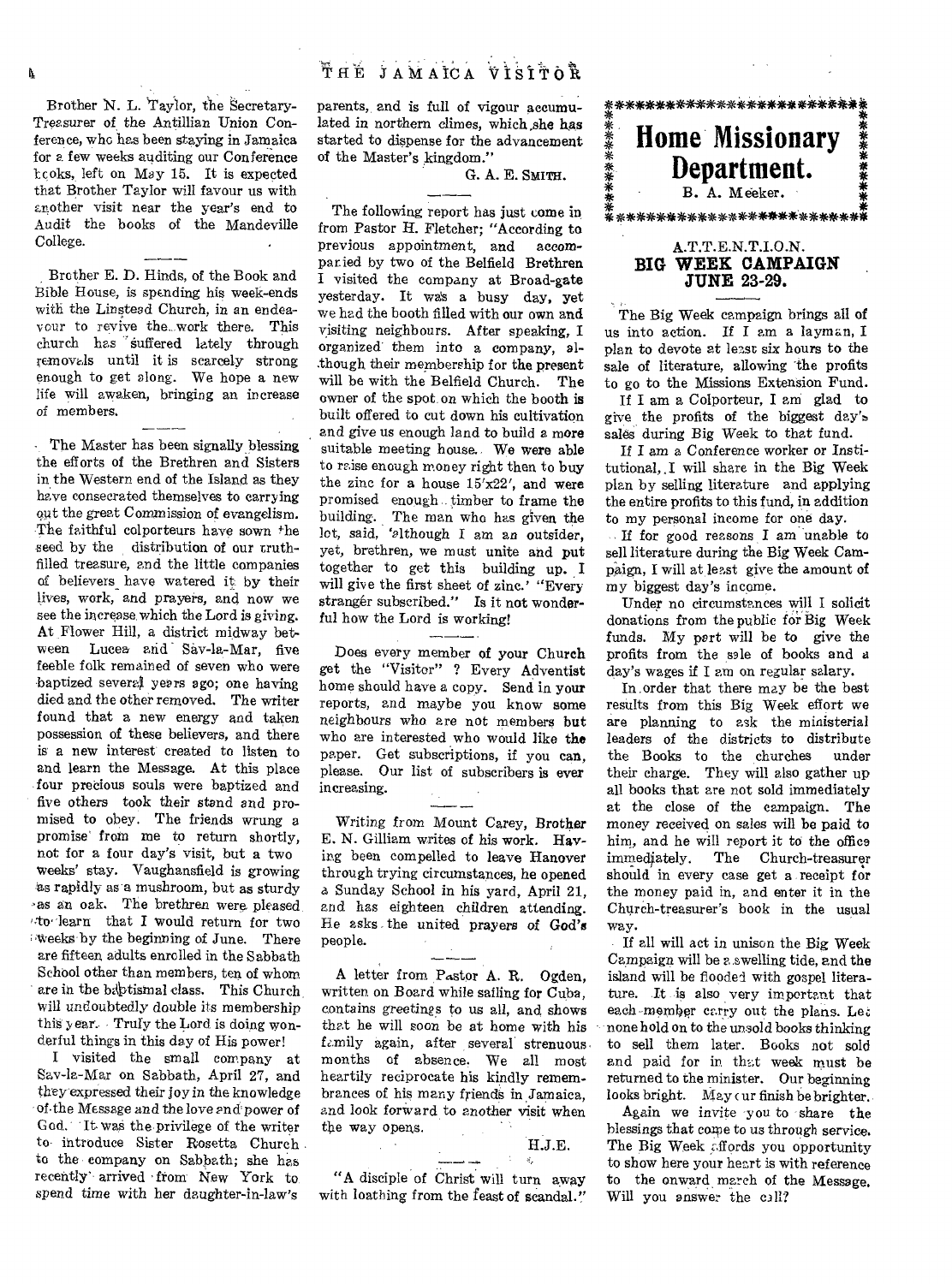Brother N. L. Taylor, the Secretary-Treasurer of the Antillian Union Conference, who has been staying in Jamaica for a few weeks auditing our Conference Icoks, left on May 15. It is expected that Brother Taylor will favour us with another visit near the year's end to Audit the books of the Mandeville College. Solid the Books of the Mandevine<br>
Hege.<br>
Brother E. D. Hinds, of the Book and

Í.

Bible House, is spending his week-ends with the Linstead Church, in an endeavour to revive the. work there. This church has suffered lately through removals until it is scarcely strong enough to get along. We hope a new life will awaken, bringing an increase of members.

The Master has been signally blessing the efforts of the Brethren and Sisters in the Western end of the Island as they have consecrated themselves to carrying out the great Commission of evangelism. The faithful colporteurs have sown \*he seed by the distribution of our truthfilled treasure, and the little companies of believers have watered it by their lives, work, and prayers, and now we see the increase which the Lord is giving. At Flower Hill, a district midway between Lucea arid Sav-la-Mar, five feeble folk remained of seven who were baptized several years ago; one having died and the other removed. The writer found that a new energy and taken possession of these believers, and there is a new interest created to listen to and learn the Message. At this place four precious souls were baptized and five others took their stand and promised to obey. The friends wrung a promise' from me to return shortly, not for a four day's visit, but a two weeks' stay. Vaughansfield is growing as rapidly as a mushroom, but as sturdy as an oak. The brethren were pleased  $4\pi$  dearn that I would return for two Vveeks by the beginning of June. There are fifteen adults enrolled in the Sabbath School other than members, ten of whom. are in the babtismal class. This Church Will undoubtedly double its membership this year. Truly the Lord is doing wonderful things in this day of His power!

I visited the small company at Say-la-Mar on Sabbath, April 27, and they expressed their joy in the knowledge of the Message and the love and power of God. It was the privilege of the writer to introduce Sister Rosetta Church to the company on Sabbath; she has recently' arrived from New York to spend time with her daughter-in-law's

parents, and is full of vigour accumulated in northern climes, which she has started to dispense for the advancement of the Master's kingdom."

G. A. E. SMITH.

The following report has just come in from Pastor H. Fletcher; "According to previous appointment, and accomparied by two of the Belfield Brethren I visited the company at Broad-gate yesterday. It wa's a busy day, yet we had the booth filled with our own and visiting neighbours. After speaking, I organized' them into a company, although their membership for the present will be with the Belfield Church. The owner of the spot on which the booth is built offered to cut down his cultivation and *give* us enough land to build a more suitable meeting house.. We were able to raise enough money right then to buy the zinc for a house  $15'x22'$ , and were promised enough timber to frame the building. The man who has given the lot, said, 'although I am *an* outsider, yet, brethren, we must unite and put together to get this building up. I will give the first sheet of zinc.' "Every stranger subscribed." Is it not wonderful how the Lord is working!

Does every member of your Church get the "Visitor" ? Every Adventist home should have a copy. Send in your reports, and maybe you know some neighbours who are not members but who are interested who would like the paper. Get subscriptions, if you can, please. Our list of subscribers is ever increasing.

Writing from Mount Carey, Brother E. N. Gilliam writes of his work. Having been compelled to leave Hanover through trying circumstances, he opened a Sunday School in his yard, April 21, and has eighteen children attending. He asks the united *prayers* of God's people.

A letter from Pastor A. R. Ogden, written on Board while sailing for Cuba, contains greetings to us all, and shows that he will soon be at home with his family again, after several strenuous. months of absence. We all most heartily reciprocate his kindly remembrances of his many friends in Jamaica, and look forward to another visit when the way opens.

### H.J.E.

"A disciple of Christ will turn away with loathing from the feast of scandal." **\*\*\*\*\*\*\*\*\*\*\*\*\*\*\*\*\*\*\*\*\*\*\*\*\*\* \* \* \* \* : Home Missionary \***  Department. B. A. Meeker. \*\*\*\*\*\*\*\*\*\*\*\*\*\*\*\*\*\*\*\*\*\*\*\*\*\*\*\*\*\* A.T.T.E.N.T.I.O.N.

### **BIG WEEK CAMPAIGN JUNE** 23-29.

The Big Week campaign brings ail of us into action. If I am a layman, I plan to devote at least six hours to the sale of literature, allowing the profits to go to the Missions Extension Fund.

If I am a Colporteur, I am glad to give the profits of the biggest day's sales during Big Week to that fund.

If I am a Conference worker or Institutional. I will share in the Big Week plan by selling literature and applying the entire profits to this fund, in addition to my personal income for one day.

If for good reasons I am unable to sell literature during the Big Week Campaign, I will at least give the amount of my biggest day's income.

Under no circumstances will I solicit donations from the public for Big Week funds. My part will be to *give* the profits from the sale of books and a day's wages if I am on regular salary.

In order that there may be the best results from this Big Week effort we are planning to ask the ministerial leaders of the districts to distribute<br>the Books to the churches under the Books to the churches their charge. They will also gather up all books that are not sold immediately at the close of the campaign. The money received on sales will be paid to him, and he will report it to the office immediately. The Church-treasurer should in every case get a receipt for the money paid in, and enter it in the Church-treasurer's book in the usual way.

If all will act in unison the Big Week Campaign will be a swelling tide, and the island will be flooded with gospel literature. It is also very important that each member carry out the plans. Let none hold on to the unsold books thinking to sell them later. Books not sold and paid for in that week must be returned to the minister. Our beginning looks bright. May cur finish be brighter.

Again *we* invite you to share the blessings that come to us through service. The Big Week affords you opportunity to show here your heart is with reference to the onward march of the Message. Will you answer the call?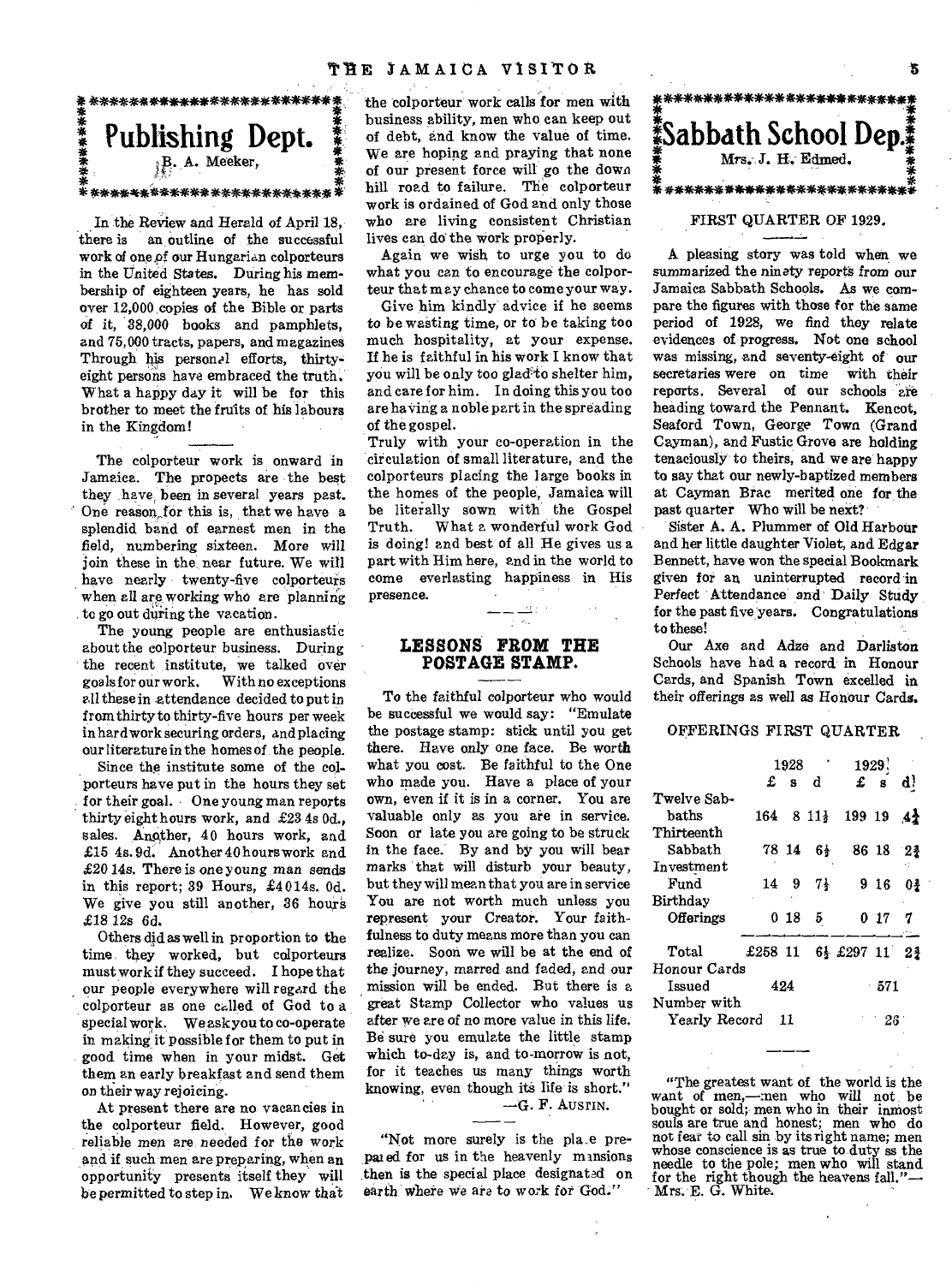

In the Review and Herald of April 18, there is an outline of the successful work of one,of our Hungarian colporteurs in the United States. During *his* membership of eighteen years, he has sold over 12,000 copies of the Bible or parts of it, 38,000 books and pamphlets, and 75,000 tracts, papers, and magazines Through his personal efforts, thirtyeight persons have embraced the truth. What a happy day it will be for this brother to meet the fruits of his labours in the Kingdom!

The colporteur work is onward in Jamaica. The propects are the best they have been in several years past. One reason,for this is, that we have a splendid band of earnest men in the field, numbering sixteen. More will join these in the near future. We will have nearly twenty-five colporteurs when all are working who are planning to go out during the vacation.

The young people are enthusiastic about the colporteur business. During the recent institute, we talked over<br>goals for our work. With no exceptions With no exceptions all these in attendance decided to put in from thirty to thirty-five hours per week in hard work securing orders, and placing our literature in the homes of the people.

Since the institute some of the colporteurs have put in the hours they set for their goal. One young man reports thirty eight hours work, and £23 4s Od., sales. Another, 40 hours work, and £15 4s. 9d. Another 40 hours work and £20 14s. There is one young man sends in this report; 39 Hours, £4014s. Od. We give you still another, 36 hours £18 12s 6d.

Others did as well in proportion to the time, they worked, but colporteurs must work if they succeed. I hope that our people everywhere will regard the colporteur as one called of God to a special work. We ask you to co-operate in making it possible for them to put in good time when in your midst. Get them an early breakfast and send them on their way rejoicing.

At present there are no vacancies in the colporteur field. However, good reliable men are needed for the work and if such men are preparing, when an opportunity presents itself they will be permitted to step in. We know that

the colporteur work calls for men with business ability, men who can keep out of debt, and know the value of time. We are hoping and praying that none of our present force will go the down hill road to failure. The colporteur work is ordained of God and only those who are living consistent Christian lives can do the work properly.

Again we wish to urge you to do what you can to encourage the colporteur that may chance to come your way.

Give him kindly advice if he seems to be wasting time, or to be taking too much hospitality, at your expense. If he is faithful in his work I know that you will be only too glad to shelter him, and care for him. In doing this you too are having a noble part in the spreading of the gospel.

Truly with your co-operation in the circulation of small literature, and the colporteurs placing the large books in the homes of the people, Jamaica will be literally sown with the Gospel<br>Truth. What a wonderful work God What a wonderful work God is doing! and best of all He gives us a part with Him here, and in the world to come everlasting happiness in His presence.

### **LESSONS FROM THE POSTAGE STAMP.**

 $\overline{\mathcal{F}}$  .  $\mathcal{E}_{\mathcal{F}}$ 

**To** the faithful colporteur who would be successful we would say: "Emulate the postage stamp: stick until you get there. Have only one face. Be worth what you cost. Be faithful to the One who made you. Have a place of your own, even if it is in a corner. You are valuable only as you are in service. Soon or late you are going to be struck in the face.' By and by you will bear marks that will disturb your beauty, but they will mean that you are in service You are not worth much unless you represent your Creator. Your faithfulness to duty means more than you can realize. Soon we will be at the end of the journey, marred and faded, and our mission will be ended. But there is a great Stamp Collector who values us after we are of no more value in this life. Be sure you emulate the little stamp which to-day is, and to-morrow is not, for it teaches us many things worth knowing, even though its life-is short."

—G. F. AusrIN.

"Not more surely is the pla\_e prepai ed for us in the heavenly mansions then is the special place designated on earth where we are to work for God."

### 米<br>11 *\*\*\*\*\*\*\*\*\*\*\*\* \*\*\*\*\*\*\*\*\*\*\*\*\**  **!Sabbath School Dep.I**  Mrs. J. H. Edmed. \*\*\*\*\*\*\*\*\*\*\*\*\*\*\*\*\*\*\*\*\*\*\*\*:

### FIRST QUARTER OF 1929.

A pleasing story was told when we summarized the ninety reports from our Jamaica Sabbath Schools. As we compare the figures with those for the same period of 1928, we find they relate evidences of progress. Not one school was missing, and seventy-eight of our secretaries were on time with their reports. Several of our schools are heading toward the Pennant. Kencot, Seaford Town, George Town (Grand Cayman), and Fustic Grove are holding tenaciously' to theirs, and we are happy to say that our newly-baptized members at Cayman Brae merited one for the past quarter Who will be next?

Sister A. A. Plummer of Old Harbour and her little daughter Violet, and Edgar Bennett, have won the special Bookmark given for an uninterrupted record 'in Perfect Attendance and Daily Study for the past five years. Congratulations to these!

Our Axe and Adze and Darliston Schools have had a record in Honour Cards, and Spanish Town excelled in their offerings as well as Honour Cards.

### OFFERINGS FIRST QUARTER

|               | 1928    |     |          | 1929.                                  |             |          |  |  |
|---------------|---------|-----|----------|----------------------------------------|-------------|----------|--|--|
|               | £       | s.  | đ        |                                        | $\pounds$ s | q j      |  |  |
| Twelve Sab-   |         |     |          |                                        |             |          |  |  |
| haths         |         |     |          | $164 \quad 811\frac{1}{2} \quad 19919$ |             | 44       |  |  |
| Thirteenth    |         |     |          |                                        |             |          |  |  |
| Sabbath       |         |     | 78 14 6} |                                        |             | 86 18 24 |  |  |
| Investment    |         |     |          |                                        |             |          |  |  |
| Fund          | 14      | - 9 | 71       |                                        | 9 16        | 01       |  |  |
| Birthday      |         |     |          |                                        |             |          |  |  |
| Offerings     |         | 018 | 5.       |                                        | 017         |          |  |  |
| Total         | £258 11 |     |          | 6} £297 11 2}                          |             |          |  |  |
| Honour Cards  |         |     |          |                                        |             |          |  |  |
| Issued        | 424     |     |          | $-571$                                 |             |          |  |  |
| Number with   |         |     |          |                                        |             |          |  |  |
| Yearly Record |         | 11  |          |                                        | -26         |          |  |  |
|               |         |     |          |                                        |             |          |  |  |

"The greatest want of the world is the want of men,—:nen who will not be bought or sold; men who in their inmost souls are true and honest; men who do not fear to call sin by its right name; men whose conscience is as true to duty ss the needle to the pole; men who will stand for the right though the heavens fall." Mrs. E. G. White.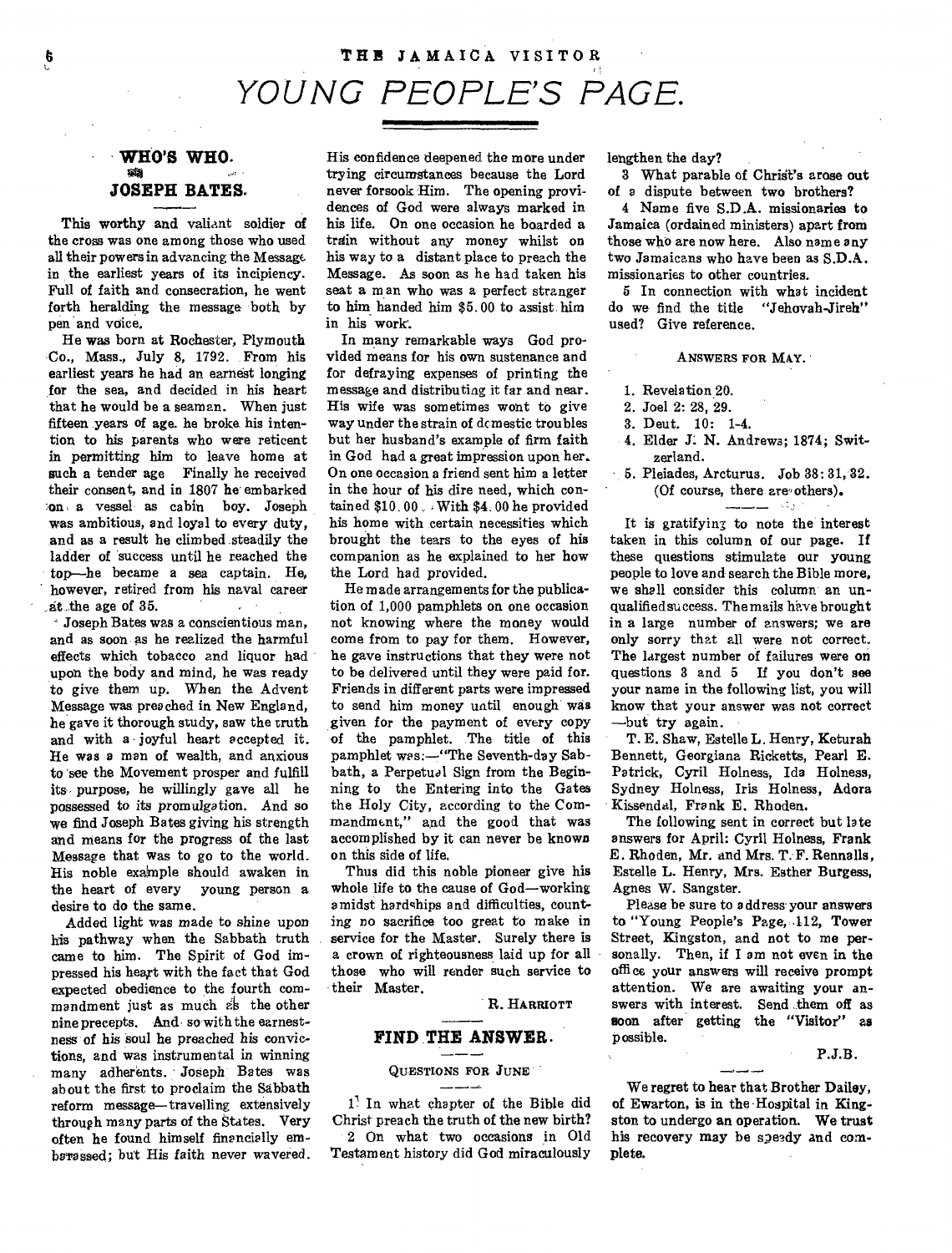## THE JAMAICA VISITOR *YOUNG PEOPLE'S PAGE.*

### **• WHO'S WHO. JOSEPH BATES.**

This worthy and valiant soldier of the cross was one among those who used all their powers in advancing the Message in the earliest years of its incipiency. Full of faith and consecration, he went forth heralding the message both by pen and voice.

He was born at Rochester, Plymouth Co., Mass., July 8, 1792. From his earliest years he had an earnest longing for the sea, and decided in his heart that he would be a seaman. When just fifteen years of age. he broke his intention to his parents who were reticent in permitting him to leave home at such a tender age Finally he received their consent, and in 1807 he embarked on a vessel as cabin boy. Joseph was ambitious, and loyal to every duty, and as a result he climbed steadily the ladder of success until he reached the top—he became a sea captain. He, however, retired from his naval career .at the age of 35.

- Joseph Bates was a conscientious man, and as soon as he realized the harmful effects which tobacco and liquor had upon the body and mind, he was ready to give them up. When the. Advent Message was preached in New England, he gave it thorough study, saw the truth and with a joyful heart accepted it. He was a man of wealth, and anxious to see the Movement prosper and fulfill its purpose, he willingly gave all he possessed to its promulgation. And so we find Joseph Bates giving his strength and means for the progress of the last Message that was to go to the world. His noble exalnaple should awaken in the heart of every young person a desire to do the same.

Added light was made to shine upon his pathway when the Sabbath truth came to him. The Spirit of God impressed his heart with the fact that God expected obedience to the fourth commandment just as much ais the other nine precepts. And so with the earnestness of his soul he preached his convictions, and was instrumental in winning many adherents. Joseph Bates was about the first to proclaim the Sabbath reform message—travelling extensively through many parts of the States. Very often he found himself financially emharassed; but His faith never wavered.

His confidence deepened the more under trying circumstances because the Lord never forsook Him. The opening providences of God were always marked in his life. On one occasion he boarded a train without any money whilst on his way to a distant place to preach the Message. As soon as he had taken his seat a man who was a perfect stranger to him handed him \$5.00 to assist him in his work'.

In many remarkable ways God provided means for his own sustenance and for defraying expenses of printing the message and distributing it far and near. His wife was sometimes wont to give way under the strain of dcmestic troubles but her husband's example of firm faith in God had a great impression upon her. On one occasion a friend sent him a letter in the hour of his dire need, which contained \$10.00 With \$4.00 he provided his home with certain necessities which brought the tears to the eyes of his companion as he explained to her how the Lord had provided.

He made arrangements for the publication of 1,000 pamphlets on one occasion not knowing where the money would come from to pay for them. However, he gave instructions that they were not to be delivered until they were paid for. Friends in different parts were impressed to send him money until enough was given for the payment of every copy of the pamphlet. The title of this pamphlet was:—"The Seventh-day Sabbath, a Perpetual Sign from the Beginning to the Entering into the Gates the Holy City, according to the Commandment," and the good that was accomplished by it can never be known on this side of life.

Thus did this noble pioneer give his whole life to the cause of God—working amidst hardships and difficulties, counting no sacrifice too great to make in service for the Master. Surely there is a crown of righteousness laid up for all those who will render such service to their Master.

R. HARRIOTT

## **FIND THE ANSWER.**<br>  $\frac{1}{2}$

#### **QUESTIONS** FOR *JUNE*

*<sup>11</sup>*In what chapter of the Bible did Christ preach the truth of the new birth? 2 On what two occasions in Old Testament history did God miraculously

lengthen the day?

3 What parable of Christ's arose out of a dispute between two brothers?

4 Name five S.D.A. missionaries to Jamaica (ordained ministers) apart from those who are now here. Also name any two Jamaicans who have been as S.D.A. missionaries to other countries.

5 In connection with what incident do we find the title "Jehovah-Jireh" used? Give reference.

ANSWERS FOR MAY.

- 1. Revelation 20.
- 2. Joel 2: 28, 29.
- 3. Deut. 10: 1-4.
- 4. Elder J. N. Andrews; 1874; Switzerland.
- 5. Pleiades, Arcturus. Job 38: 31, 32. (Of course, there are others).

It is gratifying to note the interest taken in this column of our page. If these questions stimulate our young people to love and search the Bible more, we shall consider this column an unqualified success. The mails have brought in a large number of answers; we are only sorry that all were not correct. The largest number of failures were on questions 3 and 5 If you don't see your name in the following list, you will know that your answer was not correct —but try again.

T. E. Shaw, Estelle L. Henry, Keturah Bennett, Georgiana Ricketts, Pearl E. Patrick, Cyril Holness, Ida Holness, Sydney Holness, Iris Holness, Adora Kissendal, Frank E. Rhoden.

The following sent in correct but late answers for April: Cyril Holness, Frank E. Rhoden, Mr. and Mrs. T. F. Rennalls, Estelle L. Henry, Mrs. Esther Burgess, Agnes W. Sangster.

Please be sure to address your answers to "Young People's Page, .112, Tower Street, Kingston, and not to me personally. Then, if I am not even in the office your answers will receive prompt attention. We are awaiting your answers with interest. Send them off as soon after getting the "Visitor" as possible.

P.J.B.

We regret to hear that Brother Dailey, of Ewarton, is in the Hospital in Kingston to undergo an operation. We trust his recovery may be speedy and complete.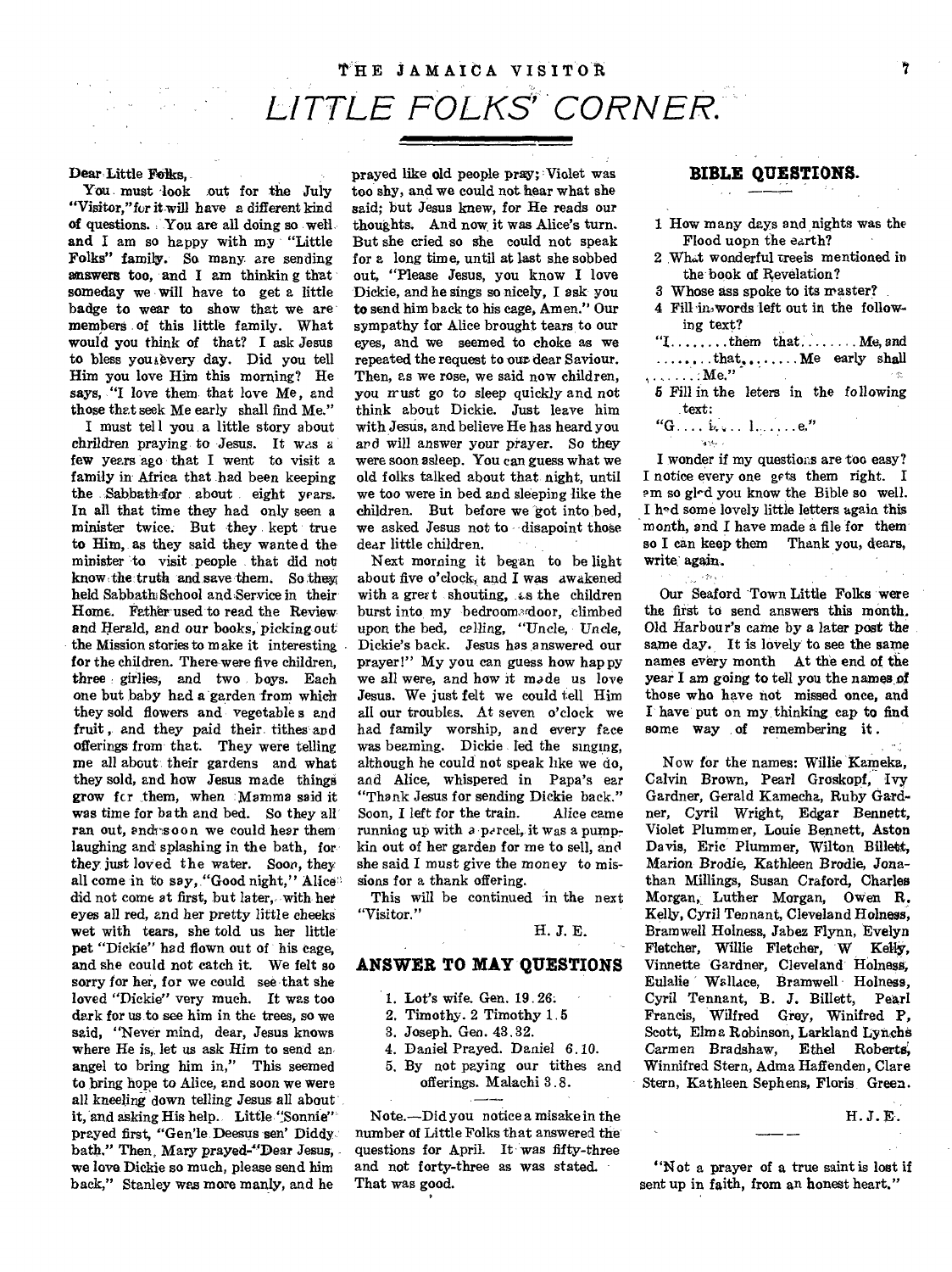## THE JAMAICA VISITOR *LITTLE FOLKS' CORNER.*

### Dear Little Folks,

You must look out for the July "Visitor,"for it will have a different kind of questions. You are all doing so well and I am so happy with my "Little Folks" family. So many are sending answers too, and I am thinking that someday we will have to get a little badge to wear to show that we are members of this little family. What would you think of that? I ask Jesus to bless you ievery day. Did you tell Him you love Him this morning? He says, "I love them that love Me, and those that seek Me early shall find Me."

I must tell you a little story about chrildren *praying* to *Jesus.* **It was** a few years ago that I went to visit a family in Africa that had been keeping the Sabbathsfor about eight vears. In all that time they had only seen a minister twice. But they kept true to Him, as they said they wanted the minister to visit people that did not know the truth and save them. So thew held Sabbath School and Service in their Home. Father used to read the Review and Herald, and our books, picking out the Mission stories to make it interesting for the children. There were five children, three girlies, and two boys. Each one but baby had a garden from which they sold flowers and vegetable s and fruit , and they paid their tithes and offerings from that. They were telling me all about their gardens and what they sold, and how Jesus made things grow for them, when Mamma said it was time for bath and bed. So they all ran out, and soon we could hear them laughing and splashing in the bath, for they just loved the water. Soon, they all come in to say, "Good night," Alice did not come at first, but later, with het eyes all red, and her pretty little cheeks wet with tears, she told us her little pet "Dickie" had flown out of his cage, and she could not catch it. We felt so sorry for her, for we could see that she loved "Dickie" very much. It was too dark for us to see him in the trees, so we said, "Never mind, dear, Jesus knows where He is, let us ask Him to send an angel to bring him in," This seemed to bring hope to Alice, and soon we were all kneeling down telling Jesus all about it, and asking His help.. Little "Sonnie" prayed first, "Gen'le Deesus sen' Diddy bath." Then. Mary prayed-"Dear *Jesus,*  we love Dickie so much, please send him back," Stanley was more manly, and he

prayed like old people pray; Violet was too shy, and we could not hear what she said; but Jesus knew, for He reads our thoughts. And now it was Alice's turn. But she cried so she could not speak for a long time, until at last she sobbed out, "Please Jesus, you know I love Dickie, and he sings so nicely, I ask you to send him back to his cage, Amen." Our sympathy for Alice brought tears, to our eyes, and we seemed to choke as we repeated the request to our dear Saviour. Then, as we rose, we said now children, you must go to sleep quickly and not think about Dickie. Just leave him with Jesus, and believe He has heard you and will answer your prayer. So they were soon asleep. You can guess what we old folks talked about that, night, until we too were in bed and sleeping like the children. But before we'got into bed, we asked Jesus not to disapoint those dear little children.

Next morning it began to be light about five o'clock, and I was awakened with a greet shouting, as the children burst into my bedroom door, climbed upon the bed, calling, "Uncle, Uncle. Dickie's back. Jesus has answered our prayer!" My you can guess how happy we all were, and how it made us love Jesus. We just felt we could tell Him all our troubles. At seven o'clock we had family worship, and every face was beaming. Dickie led the singing, although he could not speak like we do, and Alice, whispered in Papa's ear "Thank Jesus for sending Dickie back." Soon, I left for the train. Alice came running up with a percel, it was a pumpkin out of her garden for me to sell, and she said I must give the money to missions for a thank offering.

This will be continued in the next "Visitor."

H. J. E.

### **ANSWER TO MAY QUESTIONS**

- 1. Lot's wife. Gen. 19.26:
- 2. Timothy. 2 Timothy 1.5
- 3. Joseph. Gen. 43.32.
- 4. Daniel Prayed. Daniel 6.10.
- 5. By not paying our tithes and offerings. Malachi 3.8.

Note.—Did you notice a misake in the number of Little Folks that answered the questions for April. It was fifty-three and not forty-three as was stated. That was good.

### **BIBLE QUESTIONS.**

- 1 How many days and nights was the Flood uopn the earth?
- 2 Whet wonderful treeis mentioned in the book of Revelation?
- 3 Whose ass spoke to its master?
- 4 Fill in words left out in the following text?
- $T$ .........them that  $\ldots$  Me, and ........that........ Me early shall , . . . . . . . Me."
- 5 Fill in the leters in the following text:
- $``G \ldots k$ . 1.  $\ldots$  e."

 $2.74$ 

I wonder if my questions are too easy? I notice every one gets them right. I ern so gled you know the Bible so well. I h'd some lovely little letters again this month, and I have made a file for them' so I can keep them Thank you, dears, write again.

Our Seaford Town Little Folks were the first to send answers this month. Old Harbour's came by a later post the same day. It is lovely to see the same names every month At the end of the year I am going to tell you the names of those who have not missed once, and I have put on my thinking cap to find some way of remembering it .

Now for the names: Willie Kameka, Calvin Brown, Pearl Groskopf, Ivy Gardner, Gerald Kameeha, Ruby Gardner, Cyril Wright, Edgar Bennett, Violet Plummer, Louie Bennett, Aston Davis, Eric Plummer, Wilton Billett, *Marion* Brodie, Kathleen Brodie, *Jonathan* Millings, Susan Craford, Charles Morgan, Luther Morgan, Owen R. Kelly, Cyril Tennant, Cleveland Holness, Bramwell Holness, Jabez Flynn, Evelyn Fletcher, Willie Fletcher, W Kelly, Vinnette Gardner, Cleveland' Holness, Eulalie Wallace, Bramwell Holness, Cyril Tennant, B. J. Gillett, Pearl Francis, Wilfred Grey, Winifred P, Scott, Elma Robinson, Larkland Lynchs Carmen Bradshaw, Ethel Roberts; Winnifred Stern, Adma Haffenden, Clare Stern, Kathleen Sephens, Floris Green.

H. J. E.

"Not a prayer of a true saint is lost if sent up in faith, from an honest heart."